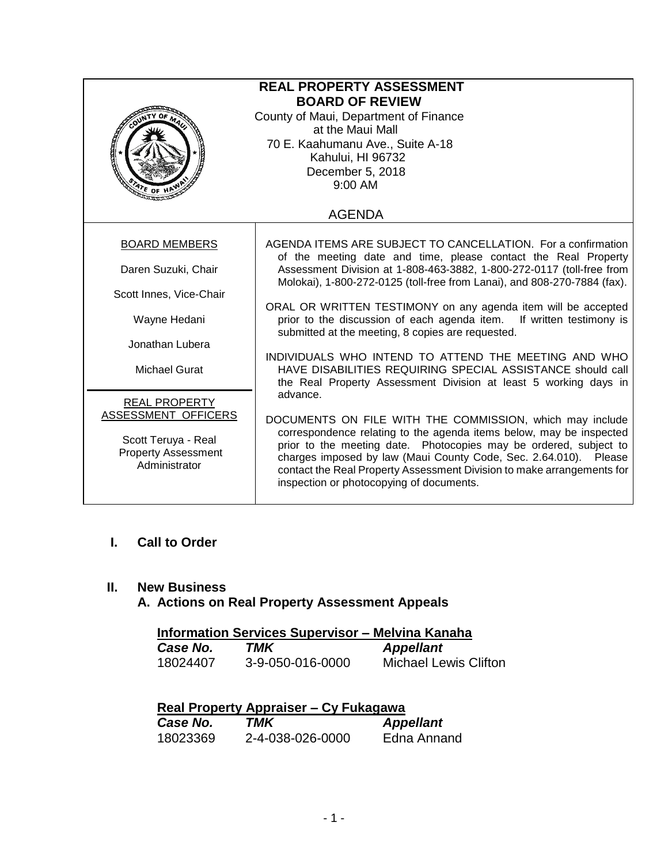| <b>REAL PROPERTY ASSESSMENT</b><br><b>BOARD OF REVIEW</b><br>County of Maui, Department of Finance<br>at the Maui Mall<br>70 E. Kaahumanu Ave., Suite A-18<br>Kahului, HI 96732<br>December 5, 2018<br>9:00 AM<br>$476$ OF H |                                                                                                                                                                                                                                                                                                                                    |  |
|------------------------------------------------------------------------------------------------------------------------------------------------------------------------------------------------------------------------------|------------------------------------------------------------------------------------------------------------------------------------------------------------------------------------------------------------------------------------------------------------------------------------------------------------------------------------|--|
|                                                                                                                                                                                                                              | <b>AGENDA</b>                                                                                                                                                                                                                                                                                                                      |  |
| <b>BOARD MEMBERS</b>                                                                                                                                                                                                         | AGENDA ITEMS ARE SUBJECT TO CANCELLATION. For a confirmation<br>of the meeting date and time, please contact the Real Property                                                                                                                                                                                                     |  |
| Daren Suzuki, Chair                                                                                                                                                                                                          | Assessment Division at 1-808-463-3882, 1-800-272-0117 (toll-free from<br>Molokai), 1-800-272-0125 (toll-free from Lanai), and 808-270-7884 (fax).                                                                                                                                                                                  |  |
| Scott Innes, Vice-Chair                                                                                                                                                                                                      |                                                                                                                                                                                                                                                                                                                                    |  |
| Wayne Hedani                                                                                                                                                                                                                 | ORAL OR WRITTEN TESTIMONY on any agenda item will be accepted<br>prior to the discussion of each agenda item. If written testimony is<br>submitted at the meeting, 8 copies are requested.                                                                                                                                         |  |
| Jonathan Lubera                                                                                                                                                                                                              | INDIVIDUALS WHO INTEND TO ATTEND THE MEETING AND WHO                                                                                                                                                                                                                                                                               |  |
| Michael Gurat                                                                                                                                                                                                                | HAVE DISABILITIES REQUIRING SPECIAL ASSISTANCE should call<br>the Real Property Assessment Division at least 5 working days in<br>advance.                                                                                                                                                                                         |  |
| <b>REAL PROPERTY</b>                                                                                                                                                                                                         |                                                                                                                                                                                                                                                                                                                                    |  |
| ASSESSMENT OFFICERS                                                                                                                                                                                                          | DOCUMENTS ON FILE WITH THE COMMISSION, which may include                                                                                                                                                                                                                                                                           |  |
| Scott Teruya - Real<br><b>Property Assessment</b><br>Administrator                                                                                                                                                           | correspondence relating to the agenda items below, may be inspected<br>prior to the meeting date. Photocopies may be ordered, subject to<br>charges imposed by law (Maui County Code, Sec. 2.64.010). Please<br>contact the Real Property Assessment Division to make arrangements for<br>inspection or photocopying of documents. |  |

## **I. Call to Order**

## **II. New Business**

# **A. Actions on Real Property Assessment Appeals**

| <b>Information Services Supervisor - Melvina Kanaha</b> |                  |                              |
|---------------------------------------------------------|------------------|------------------------------|
| Case No.                                                | TMK              | <b>Appellant</b>             |
| 18024407                                                | 3-9-050-016-0000 | <b>Michael Lewis Clifton</b> |

| Real Property Appraiser – Cy Fukagawa |                  |                  |
|---------------------------------------|------------------|------------------|
| Case No.                              | TMK              | <b>Appellant</b> |
| 18023369                              | 2-4-038-026-0000 | Edna Annand      |